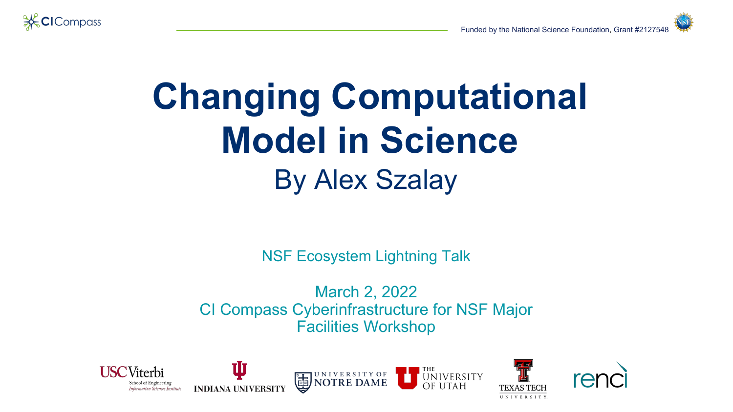

## **Changing Computational Model in Science** By Alex Szalay

NSF Ecosystem Lightning Talk

March 2, 2022 CI Compass Cyberinfrastructure for NSF Major Facilities Workshop

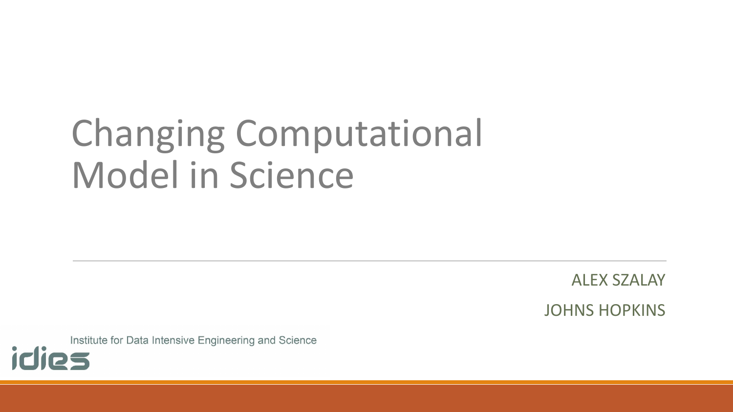## Changing Computational Model in Science

ALEX SZALAY

JOHNS HOPKINS

Institute for Data Intensive Engineering and Science **idies**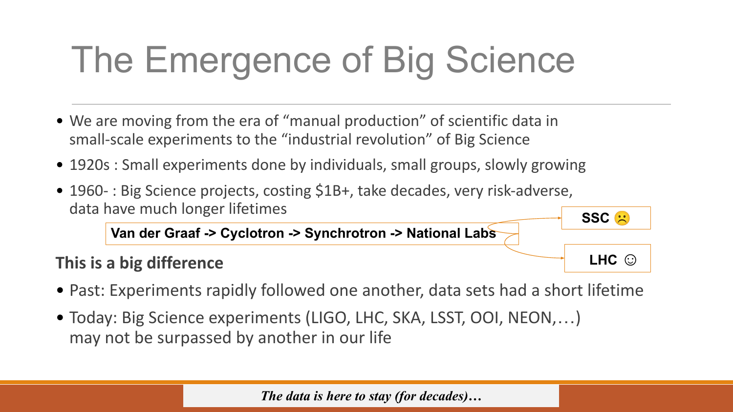## The Emergence of Big Science

- We are moving from the era of "manual production" of scientific data in small-scale experiments to the "industrial revolution" of Big Science
- 1920s : Small experiments done by individuals, small groups, slowly growing
- 1960- : Big Science projects, costing \$1B+, take decades, very risk-adverse, data have much longer lifetimes

**Van der Graaf -> Cyclotron -> Synchrotron -> National Labs**

### **This is a big difference**

- Past: Experiments rapidly followed one another, data sets had a short lifetime
- Today: Big Science experiments (LIGO, LHC, SKA, LSST, OOI, NEON,…) may not be surpassed by another in our life

*The data is here to stay (for decades)…*

 **LHC ☺**

SSC  $\ddot{\approx}$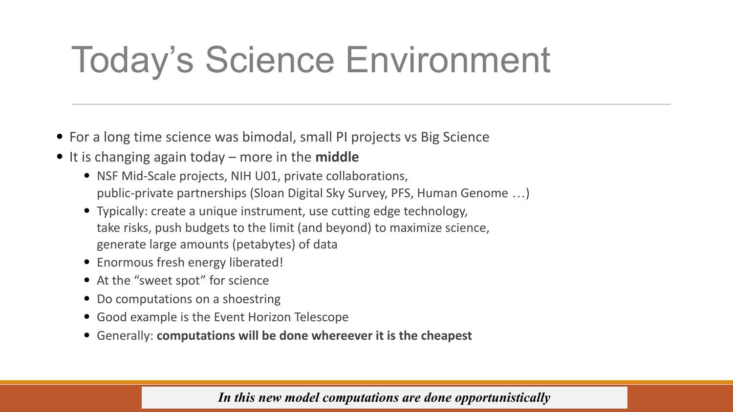## Today's Science Environment

- For a long time science was bimodal, small PI projects vs Big Science
- It is changing again today more in the **middle**
	- NSF Mid-Scale projects, NIH U01, private collaborations, public-private partnerships (Sloan Digital Sky Survey, PFS, Human Genome …)
	- Typically: create a unique instrument, use cutting edge technology, take risks, push budgets to the limit (and beyond) to maximize science, generate large amounts (petabytes) of data
	- Enormous fresh energy liberated!
	- At the "sweet spot" for science
	- Do computations on a shoestring
	- Good example is the Event Horizon Telescope
	- Generally: **computations will be done whereever it is the cheapest**

*In this new model computations are done opportunistically*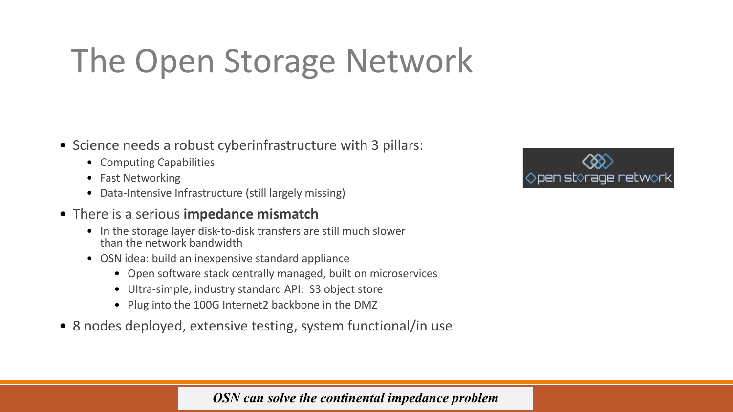## The Open Storage Network

- Science needs a robust cyberinfrastructure with 3 pillars:
	- Computing Capabilities
	- Fast Networking
	- Data-Intensive Infrastructure (still largely missing)

#### • There is a serious **impedance mismatch**

- In the storage layer disk-to-disk transfers are still much slower than the network bandwidth
- OSN idea: build an inexpensive standard appliance
	- Open software stack centrally managed, built on microservices
	- Ultra-simple, industry standard API: S3 object store
	- Plug into the 100G Internet2 backbone in the DMZ
- 8 nodes deployed, extensive testing, system functional/in use



#### *OSN can solve the continental impedance problem*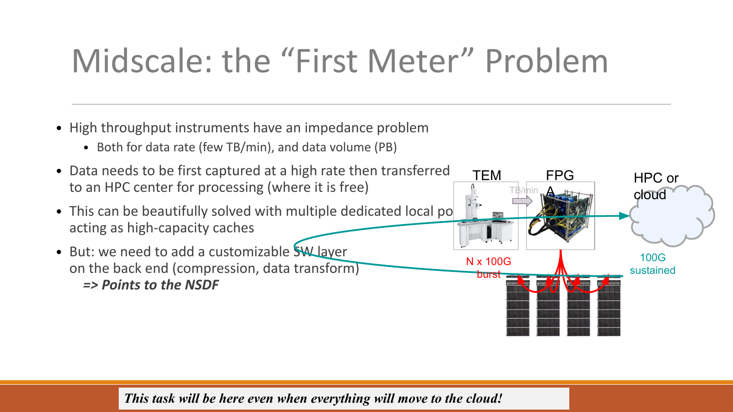### Midscale: the "First Meter" Problem

- High throughput instruments have an impedance problem
	- Both for data rate (few TB/min), and data volume (PB)



*This task will be here even when everything will move to the cloud!*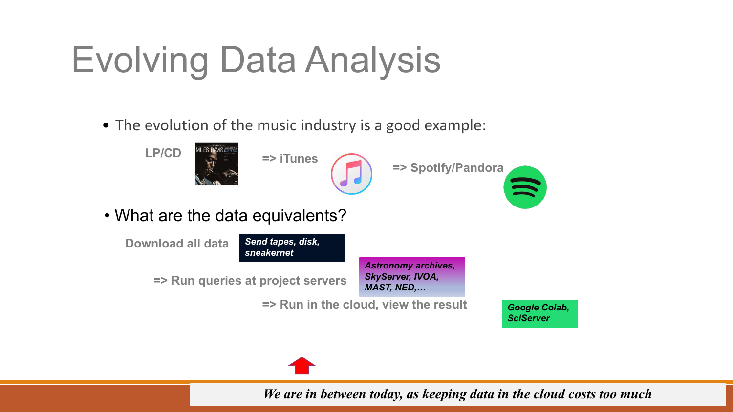# Evolving Data Analysis

• The evolution of the music industry is a good example:





*We are in between today, as keeping data in the cloud costs too much*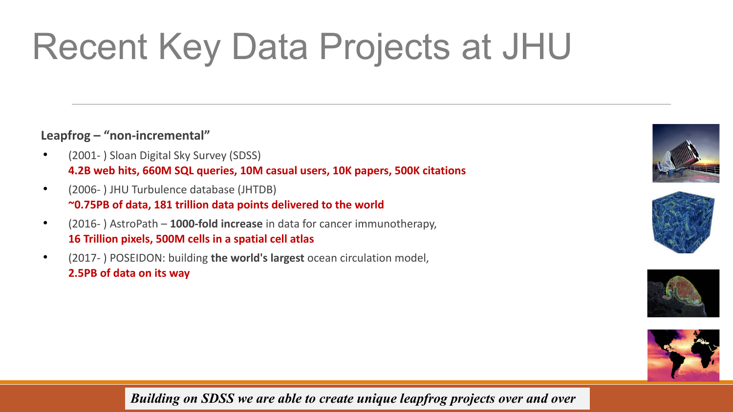# Recent Key Data Projects at JHU

#### **Leapfrog – "non-incremental"**

- (2001-) Sloan Digital Sky Survey (SDSS) **4.2B web hits, 660M SQL queries, 10M casual users, 10K papers, 500K citations**
- (2006- ) JHU Turbulence database (JHTDB) **~0.75PB of data, 181 trillion data points delivered to the world**
- (2016- ) AstroPath **1000-fold increase** in data for cancer immunotherapy, **16 Trillion pixels, 500M cells in a spatial cell atlas**
- (2017- ) POSEIDON: building **the world's largest** ocean circulation model, **2.5PB of data on its way**









*Building on SDSS we are able to create unique leapfrog projects over and over*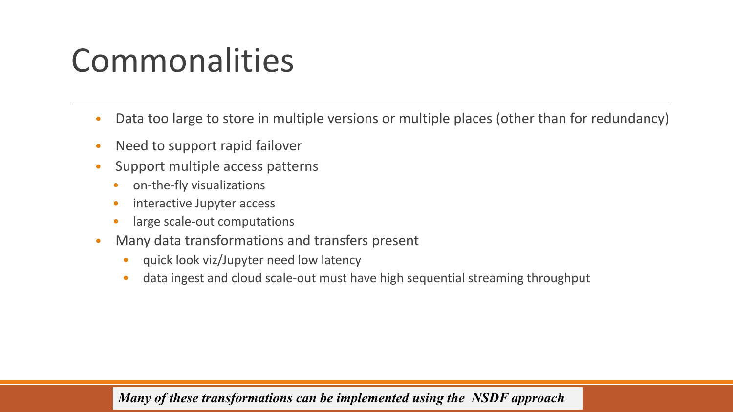### Commonalities

- Data too large to store in multiple versions or multiple places (other than for redundancy)
- Need to support rapid failover
- Support multiple access patterns
	- on-the-fly visualizations
	- interactive Jupyter access
	- large scale-out computations
- Many data transformations and transfers present
	- quick look viz/Jupyter need low latency
	- data ingest and cloud scale-out must have high sequential streaming throughput

*Many of these transformations can be implemented using the NSDF approach*